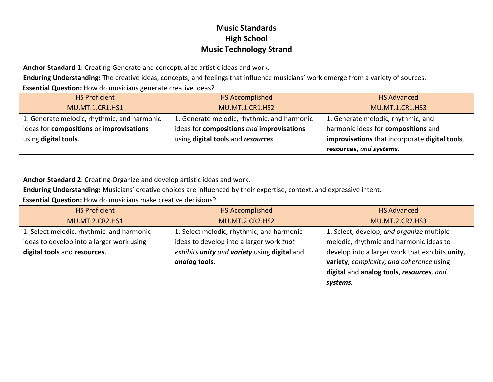**Anchor Standard 1:** Creating-Generate and conceptualize artistic ideas and work.

**Enduring Understanding:** The creative ideas, concepts, and feelings that influence musicians' work emerge from a variety of sources.

**Essential Question:** How do musicians generate creative ideas?

| <b>HS Proficient</b>                        | <b>HS Accomplished</b>                      | <b>HS Advanced</b>                             |
|---------------------------------------------|---------------------------------------------|------------------------------------------------|
| <b>MU.MT.1.CR1.HS1</b>                      | <b>MU.MT.1.CR1.HS2</b>                      | <b>MU.MT.1.CR1.HS3</b>                         |
| 1. Generate melodic, rhythmic, and harmonic | 1. Generate melodic, rhythmic, and harmonic | 1. Generate melodic, rhythmic, and             |
| ideas for compositions or improvisations    | ideas for compositions and improvisations   | harmonic ideas for compositions and            |
| using digital tools.                        | using digital tools and resources.          | improvisations that incorporate digital tools, |
|                                             |                                             | resources, and systems.                        |

**Anchor Standard 2:** Creating-Organize and develop artistic ideas and work.

**Enduring Understanding:** Musicians' creative choices are influenced by their expertise, context, and expressive intent.

**Essential Question:** How do musicians make creative decisions?

| <b>HS Proficient</b>                      | HS Accomplished                                     | <b>HS Advanced</b>                              |
|-------------------------------------------|-----------------------------------------------------|-------------------------------------------------|
| <b>MU.MT.2.CR2.HS1</b>                    | <b>MU.MT.2.CR2.HS2</b>                              | <b>MU.MT.2.CR2.HS3</b>                          |
| 1. Select melodic, rhythmic, and harmonic | 1. Select melodic, rhythmic, and harmonic           | 1. Select, develop, and organize multiple       |
| ideas to develop into a larger work using | ideas to develop into a larger work that            | melodic, rhythmic and harmonic ideas to         |
| digital tools and resources.              | exhibits <i>unity and variety</i> using digital and | develop into a larger work that exhibits unity, |
|                                           | analog tools.                                       | variety, complexity, and coherence using        |
|                                           |                                                     | digital and analog tools, resources, and        |
|                                           |                                                     | systems.                                        |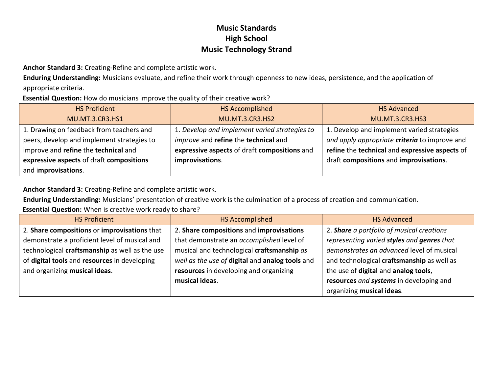**Anchor Standard 3:** Creating-Refine and complete artistic work.

**Enduring Understanding:** Musicians evaluate, and refine their work through openness to new ideas, persistence, and the application of appropriate criteria.

#### **Essential Question:** How do musicians improve the quality of their creative work?

| <b>HS Proficient</b>                       | <b>HS Accomplished</b>                        | <b>HS Advanced</b>                             |
|--------------------------------------------|-----------------------------------------------|------------------------------------------------|
| MU.MT.3.CR3.HS1                            | <b>MU.MT.3.CR3.HS2</b>                        | <b>MU.MT.3.CR3.HS3</b>                         |
| 1. Drawing on feedback from teachers and   | 1. Develop and implement varied strategies to | 1. Develop and implement varied strategies     |
| peers, develop and implement strategies to | improve and refine the technical and          | and apply appropriate criteria to improve and  |
| improve and refine the technical and       | expressive aspects of draft compositions and  | refine the technical and expressive aspects of |
| expressive aspects of draft compositions   | improvisations.                               | draft compositions and improvisations.         |
| and improvisations.                        |                                               |                                                |

**Anchor Standard 3:** Creating-Refine and complete artistic work.

**Enduring Understanding:** Musicians' presentation of creative work is the culmination of a process of creation and communication.

**Essential Question:** When is creative work ready to share?

| <b>HS Proficient</b>                           | <b>HS Accomplished</b>                          | <b>HS Advanced</b>                         |
|------------------------------------------------|-------------------------------------------------|--------------------------------------------|
| 2. Share compositions or improvisations that   | 2. Share compositions and improvisations        | 2. Share a portfolio of musical creations  |
| demonstrate a proficient level of musical and  | that demonstrate an accomplished level of       | representing varied styles and genres that |
| technological craftsmanship as well as the use | musical and technological craftsmanship as      | demonstrates an advanced level of musical  |
| of digital tools and resources in developing   | well as the use of digital and analog tools and | and technological craftsmanship as well as |
| and organizing musical ideas.                  | resources in developing and organizing          | the use of digital and analog tools,       |
|                                                | musical ideas.                                  | resources and systems in developing and    |
|                                                |                                                 | organizing musical ideas.                  |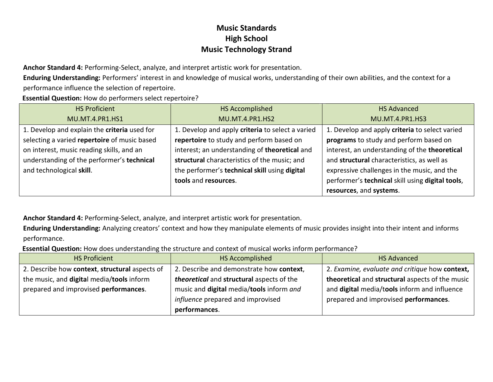**Anchor Standard 4:** Performing-Select, analyze, and interpret artistic work for presentation.

**Enduring Understanding:** Performers' interest in and knowledge of musical works, understanding of their own abilities, and the context for a performance influence the selection of repertoire.

**Essential Question:** How do performers select repertoire?

| <b>HS Proficient</b>                         | <b>HS Accomplished</b>                           | <b>HS Advanced</b>                               |
|----------------------------------------------|--------------------------------------------------|--------------------------------------------------|
| MU.MT.4.PR1.HS1                              | <b>MU.MT.4.PR1.HS2</b>                           | <b>MU.MT.4.PR1.HS3</b>                           |
| 1. Develop and explain the criteria used for | 1. Develop and apply criteria to select a varied | 1. Develop and apply criteria to select varied   |
| selecting a varied repertoire of music based | repertoire to study and perform based on         | programs to study and perform based on           |
| on interest, music reading skills, and an    | interest; an understanding of theoretical and    | interest, an understanding of the theoretical    |
| understanding of the performer's technical   | structural characteristics of the music; and     | and structural characteristics, as well as       |
| and technological skill.                     | the performer's technical skill using digital    | expressive challenges in the music, and the      |
|                                              | tools and resources.                             | performer's technical skill using digital tools, |
|                                              |                                                  | resources, and systems.                          |

**Anchor Standard 4:** Performing-Select, analyze, and interpret artistic work for presentation.

**Enduring Understanding:** Analyzing creators' context and how they manipulate elements of music provides insight into their intent and informs performance.

**Essential Question:** How does understanding the structure and context of musical works inform performance?

| <b>HS Proficient</b>                           | HS Accomplished                           | <b>HS Advanced</b>                              |
|------------------------------------------------|-------------------------------------------|-------------------------------------------------|
| 2. Describe how context, structural aspects of | 2. Describe and demonstrate how context,  | 2. Examine, evaluate and critique how context,  |
| the music, and digital media/tools inform      | theoretical and structural aspects of the | theoretical and structural aspects of the music |
| prepared and improvised performances.          | music and digital media/tools inform and  | and digital media/tools inform and influence    |
|                                                | influence prepared and improvised         | prepared and improvised performances.           |
|                                                | performances.                             |                                                 |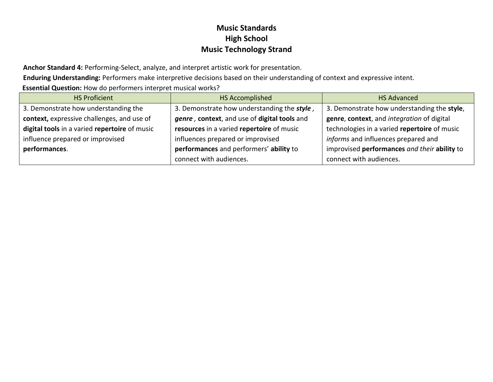**Anchor Standard 4:** Performing-Select, analyze, and interpret artistic work for presentation.

**Enduring Understanding:** Performers make interpretive decisions based on their understanding of context and expressive intent.

**Essential Question:** How do performers interpret musical works?

| <b>HS Proficient</b>                          | HS Accomplished                              | <b>HS Advanced</b>                           |
|-----------------------------------------------|----------------------------------------------|----------------------------------------------|
| 3. Demonstrate how understanding the          | 3. Demonstrate how understanding the style,  | 3. Demonstrate how understanding the style,  |
| context, expressive challenges, and use of    | genre, context, and use of digital tools and | genre, context, and integration of digital   |
| digital tools in a varied repertoire of music | resources in a varied repertoire of music    | technologies in a varied repertoire of music |
| influence prepared or improvised              | influences prepared or improvised            | informs and influences prepared and          |
| performances.                                 | performances and performers' ability to      | improvised performances and their ability to |
|                                               | connect with audiences.                      | connect with audiences.                      |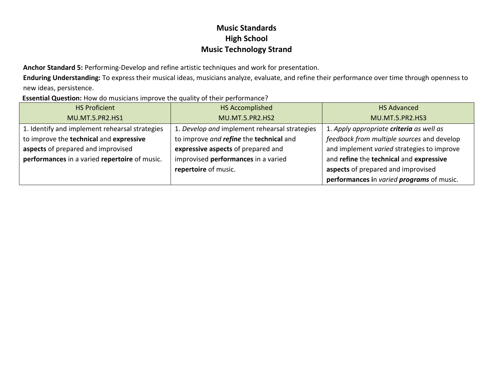**Anchor Standard 5:** Performing-Develop and refine artistic techniques and work for presentation.

**Enduring Understanding:** To express their musical ideas, musicians analyze, evaluate, and refine their performance over time through openness to new ideas, persistence.

**Essential Question:** How do musicians improve the quality of their performance?

| <b>HS Proficient</b>                           | <b>HS Accomplished</b>                        | <b>HS Advanced</b>                         |
|------------------------------------------------|-----------------------------------------------|--------------------------------------------|
| MU.MT.5.PR2.HS1                                | <b>MU.MT.5.PR2.HS2</b>                        | MU.MT.5.PR2.HS3                            |
| 1. Identify and implement rehearsal strategies | 1. Develop and implement rehearsal strategies | 1. Apply appropriate criteria as well as   |
| to improve the technical and expressive        | to improve and refine the technical and       | feedback from multiple sources and develop |
| aspects of prepared and improvised             | expressive aspects of prepared and            | and implement varied strategies to improve |
| performances in a varied repertoire of music.  | improvised performances in a varied           | and refine the technical and expressive    |
|                                                | repertoire of music.                          | aspects of prepared and improvised         |
|                                                |                                               | performances in varied programs of music.  |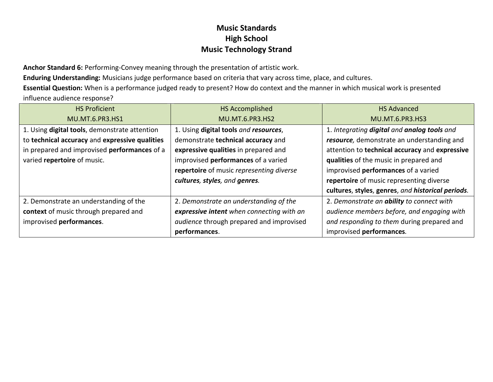**Anchor Standard 6:** Performing-Convey meaning through the presentation of artistic work.

**Enduring Understanding:** Musicians judge performance based on criteria that vary across time, place, and cultures.

**Essential Question:** When is a performance judged ready to present? How do context and the manner in which musical work is presented influence audience response?

| <b>HS Proficient</b>                           | <b>HS Accomplished</b>                    | <b>HS Advanced</b>                                |
|------------------------------------------------|-------------------------------------------|---------------------------------------------------|
| <b>MU.MT.6.PR3.HS1</b>                         | <b>MU.MT.6.PR3.HS2</b>                    | <b>MU.MT.6.PR3.HS3</b>                            |
| 1. Using digital tools, demonstrate attention  | 1. Using digital tools and resources,     | 1. Integrating digital and analog tools and       |
| to technical accuracy and expressive qualities | demonstrate technical accuracy and        | resource, demonstrate an understanding and        |
| in prepared and improvised performances of a   | expressive qualities in prepared and      | attention to technical accuracy and expressive    |
| varied repertoire of music.                    | improvised performances of a varied       | qualities of the music in prepared and            |
|                                                | repertoire of music representing diverse  | improvised performances of a varied               |
|                                                | cultures, styles, and genres.             | repertoire of music representing diverse          |
|                                                |                                           | cultures, styles, genres, and historical periods. |
| 2. Demonstrate an understanding of the         | 2. Demonstrate an understanding of the    | 2. Demonstrate an <i>ability</i> to connect with  |
| context of music through prepared and          | expressive intent when connecting with an | audience members before, and engaging with        |
| improvised performances.                       | audience through prepared and improvised  | and responding to them during prepared and        |
|                                                | performances.                             | improvised performances.                          |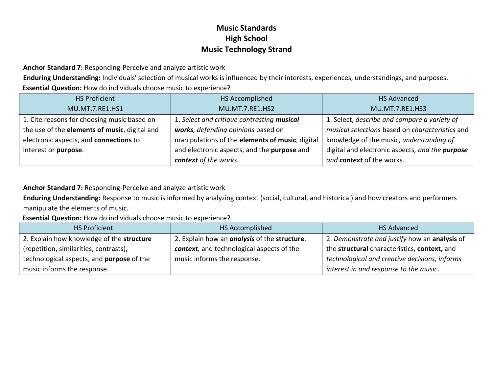**Anchor Standard 7:** Responding-Perceive and analyze artistic work

**Enduring Understanding:** Individuals' selection of musical works is influenced by their interests, experiences, understandings, and purposes. **Essential Question:** How do individuals choose music to experience?

| <b>HS Proficient</b>                          | HS Accomplished                                 | <b>HS Advanced</b>                              |
|-----------------------------------------------|-------------------------------------------------|-------------------------------------------------|
| MU.MT.7.RE1.HS1                               | MU.MT.7.RE1.HS2                                 | MU.MT.7.RE1.HS3                                 |
| 1. Cite reasons for choosing music based on   | 1. Select and critique contrasting musical      | 1. Select, describe and compare a variety of    |
| the use of the elements of music, digital and | works, defending opinions based on              | musical selections based on characteristics and |
| electronic aspects, and connections to        | manipulations of the elements of music, digital | knowledge of the music, understanding of        |
| interest or purpose.                          | and electronic aspects, and the purpose and     | digital and electronic aspects, and the purpose |
|                                               | context of the works.                           | and context of the works.                       |

#### **Anchor Standard 7:** Responding-Perceive and analyze artistic work

**Enduring Understanding:** Response to music is informed by analyzing context (social, cultural, and historical) and how creators and performers manipulate the elements of music.

**Essential Question:** How do individuals choose music to experience?

| <b>HS Proficient</b>                      | HS Accomplished                                     | <b>HS Advanced</b>                            |
|-------------------------------------------|-----------------------------------------------------|-----------------------------------------------|
| 2. Explain how knowledge of the structure | 2. Explain how an <i>analysis</i> of the structure, | 2. Demonstrate and justify how an analysis of |
| (repetition, similarities, contrasts),    | context, and technological aspects of the           | the structural characteristics, context, and  |
| technological aspects, and purpose of the | music informs the response.                         | technological and creative decisions, informs |
| music informs the response.               |                                                     | interest in and response to the music.        |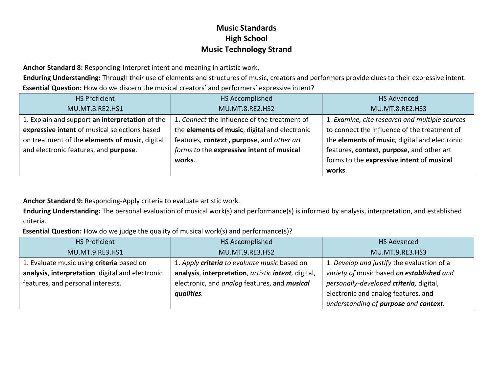**Anchor Standard 8:** Responding-Interpret intent and meaning in artistic work.

**Enduring Understanding:** Through their use of elements and structures of music, creators and performers provide clues to their expressive intent. **Essential Question:** How do we discern the musical creators' and performers' expressive intent?

| <b>HS Proficient</b>                            | HS Accomplished                               | <b>HS Advanced</b>                             |
|-------------------------------------------------|-----------------------------------------------|------------------------------------------------|
| MU.MT.8.RE2.HS1                                 | MU.MT.8.RE2.HS2                               | MU.MT.8.RE2.HS3                                |
| 1. Explain and support an interpretation of the | 1. Connect the influence of the treatment of  | 1. Examine, cite research and multiple sources |
| expressive intent of musical selections based   | the elements of music, digital and electronic | to connect the influence of the treatment of   |
| on treatment of the elements of music, digital  | features, context, purpose, and other art     | the elements of music, digital and electronic  |
| and electronic features, and purpose.           | forms to the expressive intent of musical     | features, context, purpose, and other art      |
|                                                 | works.                                        | forms to the expressive intent of musical      |
|                                                 |                                               | works.                                         |

**Anchor Standard 9:** Responding-Apply criteria to evaluate artistic work.

**Enduring Understanding:** The personal evaluation of musical work(s) and performance(s) is informed by analysis, interpretation, and established criteria.

**Essential Question:** How do we judge the quality of musical work(s) and performance(s)?

| <b>HS Proficient</b>                             | HS Accomplished                                     | <b>HS Advanced</b>                         |
|--------------------------------------------------|-----------------------------------------------------|--------------------------------------------|
| MU.MT.9.RE3.HS1                                  | MU.MT.9.RE3.HS2                                     | MU.MT.9.RE3.HS3                            |
| 1. Evaluate music using criteria based on        | 1. Apply criteria to evaluate music based on        | 1. Develop and justify the evaluation of a |
| analysis, interpretation, digital and electronic | analysis, interpretation, artistic intent, digital, | variety of music based on established and  |
| features, and personal interests.                | electronic, and analog features, and musical        | personally-developed criteria, digital,    |
|                                                  | qualities.                                          | electronic and analog features, and        |
|                                                  |                                                     | understanding of purpose and context.      |